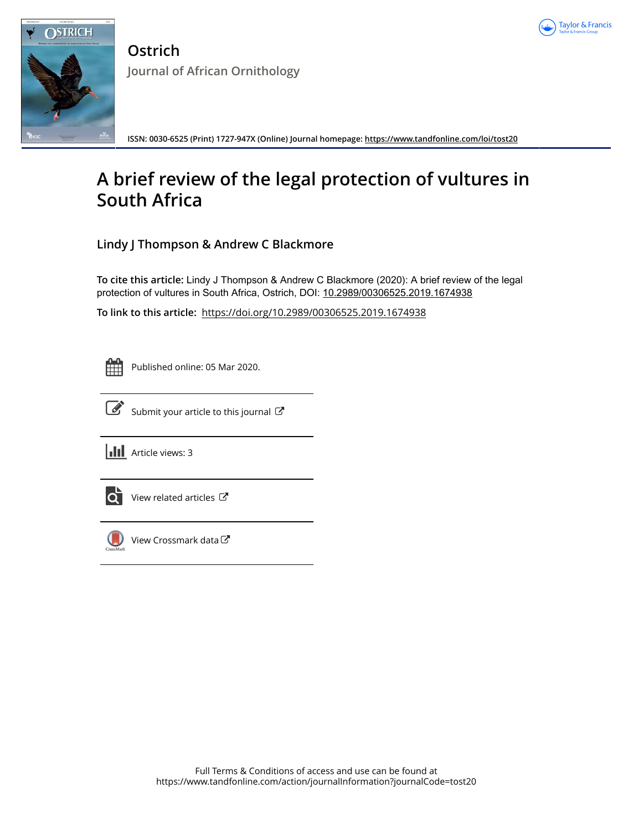



**Ostrich Journal of African Ornithology**

**ISSN: 0030-6525 (Print) 1727-947X (Online) Journal homepage: <https://www.tandfonline.com/loi/tost20>**

# **A brief review of the legal protection of vultures in South Africa**

**Lindy J Thompson & Andrew C Blackmore**

**To cite this article:** Lindy J Thompson & Andrew C Blackmore (2020): A brief review of the legal protection of vultures in South Africa, Ostrich, DOI: [10.2989/00306525.2019.1674938](https://www.tandfonline.com/action/showCitFormats?doi=10.2989/00306525.2019.1674938)

**To link to this article:** <https://doi.org/10.2989/00306525.2019.1674938>

Published online: 05 Mar 2020.



 $\overrightarrow{S}$  [Submit your article to this journal](https://www.tandfonline.com/action/authorSubmission?journalCode=tost20&show=instructions)  $\overrightarrow{S}$ 

**III** Article views: 3



 $\overrightarrow{Q}$  [View related articles](https://www.tandfonline.com/doi/mlt/10.2989/00306525.2019.1674938)  $\overrightarrow{C}$ 



[View Crossmark data](http://crossmark.crossref.org/dialog/?doi=10.2989/00306525.2019.1674938&domain=pdf&date_stamp=2020-03-05) $\mathbb{Z}$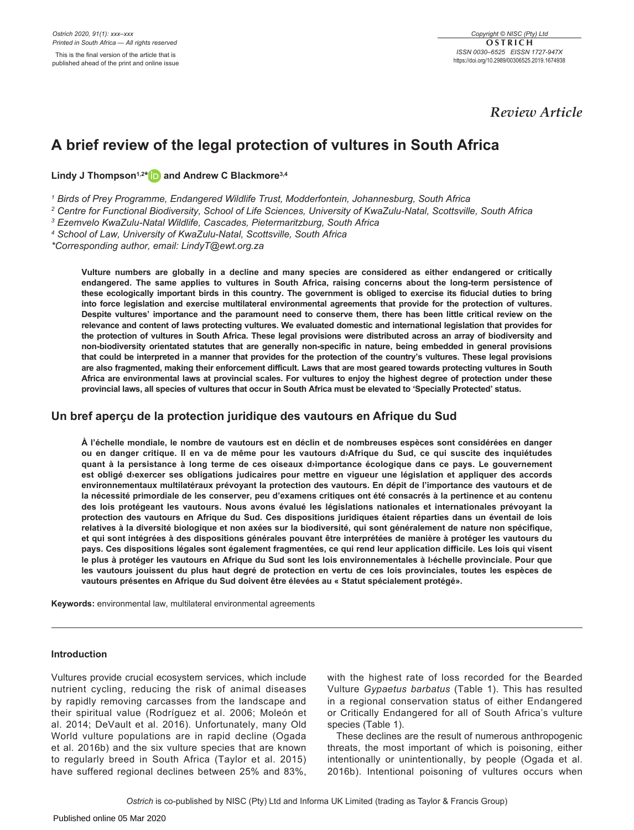*Review Article*

# **A brief review of the legal protection of vultures in South Africa**

**Lindy J Thompson1,2[\\*](http://orcid.org/0000-0001-9847-2003) and Andrew C Blackmore3,4**

*1 Birds of Prey Programme, Endangered Wildlife Trust, Modderfontein, Johannesburg, South Africa*

*2 Centre for Functional Biodiversity, School of Life Sciences, University of KwaZulu-Natal, Scottsville, South Africa*

*3 Ezemvelo KwaZulu-Natal Wildlife, Cascades, Pietermaritzburg, South Africa*

*4 School of Law, University of KwaZulu-Natal, Scottsville, South Africa*

*\*Corresponding author, email: [LindyT@ewt.org.za](mailto:LindyT@ewt.org.za)*

**Vulture numbers are globally in a decline and many species are considered as either endangered or critically endangered. The same applies to vultures in South Africa, raising concerns about the long-term persistence of these ecologically important birds in this country. The government is obliged to exercise its fiducial duties to bring into force legislation and exercise multilateral environmental agreements that provide for the protection of vultures. Despite vultures' importance and the paramount need to conserve them, there has been little critical review on the relevance and content of laws protecting vultures. We evaluated domestic and international legislation that provides for the protection of vultures in South Africa. These legal provisions were distributed across an array of biodiversity and non-biodiversity orientated statutes that are generally non-specific in nature, being embedded in general provisions that could be interpreted in a manner that provides for the protection of the country's vultures. These legal provisions are also fragmented, making their enforcement difficult. Laws that are most geared towards protecting vultures in South Africa are environmental laws at provincial scales. For vultures to enjoy the highest degree of protection under these provincial laws, all species of vultures that occur in South Africa must be elevated to 'Specially Protected' status.**

# **Un bref aperçu de la protection juridique des vautours en Afrique du Sud**

**À l'échelle mondiale, le nombre de vautours est en déclin et de nombreuses espèces sont considérées en danger ou en danger critique. Il en va de même pour les vautours d›Afrique du Sud, ce qui suscite des inquiétudes quant à la persistance à long terme de ces oiseaux d›importance écologique dans ce pays. Le gouvernement est obligé d›exercer ses obligations judicaires pour mettre en vigueur une législation et appliquer des accords environnementaux multilatéraux prévoyant la protection des vautours. En dépit de l'importance des vautours et de la nécessité primordiale de les conserver, peu d'examens critiques ont été consacrés à la pertinence et au contenu des lois protégeant les vautours. Nous avons évalué les législations nationales et internationales prévoyant la protection des vautours en Afrique du Sud. Ces dispositions juridiques étaient réparties dans un éventail de lois relatives à la diversité biologique et non axées sur la biodiversité, qui sont généralement de nature non spécifique, et qui sont intégrées à des dispositions générales pouvant être interprétées de manière à protéger les vautours du pays. Ces dispositions légales sont également fragmentées, ce qui rend leur application difficile. Les lois qui visent le plus à protéger les vautours en Afrique du Sud sont les lois environnementales à l›échelle provinciale. Pour que les vautours jouissent du plus haut degré de protection en vertu de ces lois provinciales, toutes les espèces de vautours présentes en Afrique du Sud doivent être élevées au « Statut spécialement protégé».**

**Keywords:** environmental law, multilateral environmental agreements

# **Introduction**

Vultures provide crucial ecosystem services, which include nutrient cycling, reducing the risk of animal diseases by rapidly removing carcasses from the landscape and their spiritual value (Rodríguez et al. 2006; Moleón et al. 2014; DeVault et al. 2016). Unfortunately, many Old World vulture populations are in rapid decline (Ogada et al. 2016b) and the six vulture species that are known to regularly breed in South Africa (Taylor et al. 2015) have suffered regional declines between 25% and 83%,

with the highest rate of loss recorded for the Bearded Vulture *Gypaetus barbatus* (Table 1). This has resulted in a regional conservation status of either Endangered or Critically Endangered for all of South Africa's vulture species (Table 1).

These declines are the result of numerous anthropogenic threats, the most important of which is poisoning, either intentionally or unintentionally, by people (Ogada et al. 2016b). Intentional poisoning of vultures occurs when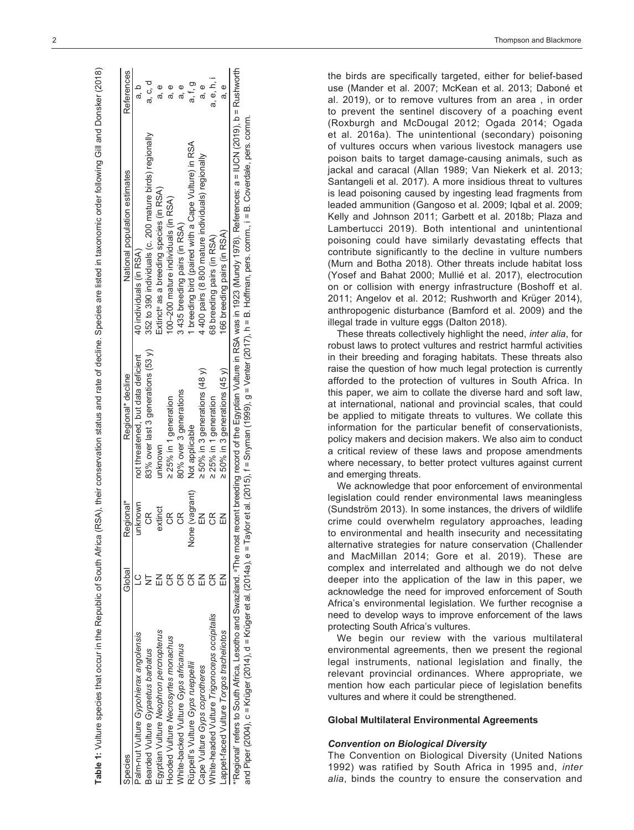| J<br>Ì            |
|-------------------|
|                   |
| j                 |
|                   |
|                   |
|                   |
|                   |
| ļ<br>ĺ            |
| I                 |
|                   |
|                   |
| $\tilde{\vec{c}}$ |
|                   |
| <br>١             |
|                   |
|                   |
| ï                 |
|                   |
| ĭ                 |
| į                 |
|                   |
| is si             |
|                   |
| Ì                 |
|                   |
| :                 |
|                   |
| :                 |
|                   |
|                   |
|                   |
|                   |
|                   |
| ً<br>ہ            |
|                   |
|                   |
| .<br>Sain         |
| ļ                 |
|                   |
| ֦֧֛               |
|                   |
| i                 |
|                   |
|                   |
| נ<br>יו           |
| an anto of        |
|                   |
|                   |
|                   |
|                   |
|                   |
|                   |
| a atatisa ani     |
|                   |
| l                 |
|                   |
| l                 |
| j                 |
|                   |
| i                 |
|                   |
| I<br>ı            |
| i                 |
| ica (RSA).        |
|                   |
|                   |
|                   |
|                   |
|                   |
| Í                 |
| ؛                 |
|                   |
|                   |
|                   |
|                   |
|                   |
|                   |
| Ś                 |
| Í                 |
|                   |
| j                 |
|                   |
|                   |
| 5                 |
|                   |
|                   |
| i                 |
| j<br>Ś            |
|                   |
| Ì                 |
|                   |
| ļ                 |
|                   |
| i                 |
|                   |
|                   |
|                   |
|                   |
|                   |
|                   |
| Z                 |
|                   |

| Species                                                                                                                                                                                                    | Global                 | Regional*               | Regional* decline                   | National population estimates                           | References |
|------------------------------------------------------------------------------------------------------------------------------------------------------------------------------------------------------------|------------------------|-------------------------|-------------------------------------|---------------------------------------------------------|------------|
| Palm-nut Vulture Gypohierax angolensis                                                                                                                                                                     |                        | unknown                 | not threatened, but data deficient  | 40 individuals (in RSA)                                 |            |
| Bearded Vulture Gypaetus barbatus                                                                                                                                                                          |                        | œ                       | 83% over last 3 generations (53 y)  | 352 to 390 individuals (c. 200 mature birds) regionally | ರ<br>ಹೆ    |
| Egyptian Vulture Neophron percnopterus                                                                                                                                                                     | $\overline{1}$         | extinct                 | unknown                             | Extinct <sup>e</sup> as a breeding species (in RSA)     | စ<br>ಸ     |
| Hooded Vulture Necrosyrtes monachus                                                                                                                                                                        | $\frac{\alpha}{\beta}$ | $\frac{1}{2}$           | $\geq$ 25% in 1 generation          | 100-200 mature individuals (in RSA)                     |            |
| <b>Nhite-backed Vulture Gyps africanus</b>                                                                                                                                                                 | $\frac{\alpha}{\beta}$ | E                       | 80% over 3 generations              | 3 435 breeding pairs (in RSA)                           | യ<br>ത     |
| Rüppell's Vulture Gyps rueppellii                                                                                                                                                                          | $\frac{\alpha}{\zeta}$ | None (vagrant)          | Not applicable                      | 1 breeding bird (paired with a Cape Vulture) in RSA     | a, t, g    |
| Cape Vulture Gyps coprotheres                                                                                                                                                                              | $\leq$                 |                         | $\geq 50\%$ in 3 generations (48 y) | 4 400 pairs (8 800 mature individuals) regionally       | e<br>a     |
| White-headed Vulture Trigonoceps occipitalis                                                                                                                                                               | g                      | $\frac{\alpha}{\omega}$ | 25% in 1 generation                 | 68 breeding pairs (in RSA)                              | a, e, h, i |
| appet-faced Vulture Torgos tracheliotos                                                                                                                                                                    | K                      | 즶                       | $\geq$ 50% in 3 generations (45 y)  | 166 breeding pairs (in RSA)                             | e<br>a     |
| *Regional' refers to South Africa, Lesotho and Swaziland. <sup>a</sup> The most recent breeding record of the Egyptian Vulture in RSA was in 1923 (Mundy 1978). References: a = IUCN (2019), b = Rushworth |                        |                         |                                     |                                                         |            |

and Piper (2004), c = Krüger (2014), d = Krüger et al. (2014a), e = Taylor et al. (2015), f = Snyman (1999), g = Venter (2017), h = B. Hoffman, pers. comm., i = B. Coverdale, pers. comm. and Piper (2004), c = Krüger (2014), d = Krüger et al. (2014a), e = Taylor et al. (2015), f = Snyman (1999), g = Venter (2017), h = B. Hoffman, pers. comm,, i = B. Coverdale, pers. comm

the birds are specifically targeted, either for belief-based use (Mander et al. 2007; McKean et al. 2013; Daboné et al. 2019), or to remove vultures from an area , in order to prevent the sentinel discovery of a poaching event (Roxburgh and McDougal 2012; Ogada 2014; Ogada et al. 2016a). The unintentional (secondary) poisoning of vultures occurs when various livestock managers use poison baits to target damage-causing animals, such as jackal and caracal (Allan 1989; Van Niekerk et al. 2013; Santangeli et al. 2017). A more insidious threat to vultures is lead poisoning caused by ingesting lead fragments from leaded ammunition (Gangoso et al. 2009; Iqbal et al. 2009; Kelly and Johnson 2011; Garbett et al. 2018b; Plaza and Lambertucci 2019). Both intentional and unintentional poisoning could have similarly devastating effects that contribute significantly to the decline in vulture numbers (Murn and Botha 2018). Other threats include habitat loss (Yosef and Bahat 2000; Mullié et al. 2017), electrocution on or collision with energy infrastructure (Boshoff et al. 2011; Angelov et al. 2012; Rushworth and Krüger 2014), anthropogenic disturbance (Bamford et al. 2009) and the illegal trade in vulture eggs (Dalton 2018).

These threats collectively highlight the need, *inter alia*, for robust laws to protect vultures and restrict harmful activities in their breeding and foraging habitats. These threats also raise the question of how much legal protection is currently afforded to the protection of vultures in South Africa. In this paper, we aim to collate the diverse hard and soft law, at international, national and provincial scales, that could be applied to mitigate threats to vultures. We collate this information for the particular benefit of conservationists, policy makers and decision makers. We also aim to conduct a critical review of these laws and propose amendments where necessary, to better protect vultures against current and emerging threats.

We acknowledge that poor enforcement of environmental legislation could render environmental laws meaningless (Sundström 2013). In some instances, the drivers of wildlife crime could overwhelm regulatory approaches, leading to environmental and health insecurity and necessitating alternative strategies for nature conservation (Challender and MacMillan 2014; Gore et al. 2019). These are complex and interrelated and although we do not delve deeper into the application of the law in this paper, we acknowledge the need for improved enforcement of South Africa's environmental legislation. We further recognise a need to develop ways to improve enforcement of the laws protecting South Africa's vultures.

We begin our review with the various multilateral environmental agreements, then we present the regional legal instruments, national legislation and finally, the relevant provincial ordinances. Where appropriate, we mention how each particular piece of legislation benefits vultures and where it could be strengthened.

# **Global Multilateral Environmental Agreements**

#### *Convention on Biological Diversity*

The Convention on Biological Diversity (United Nations 1992) was ratified by South Africa in 1995 and, *inter alia*, binds the country to ensure the conservation and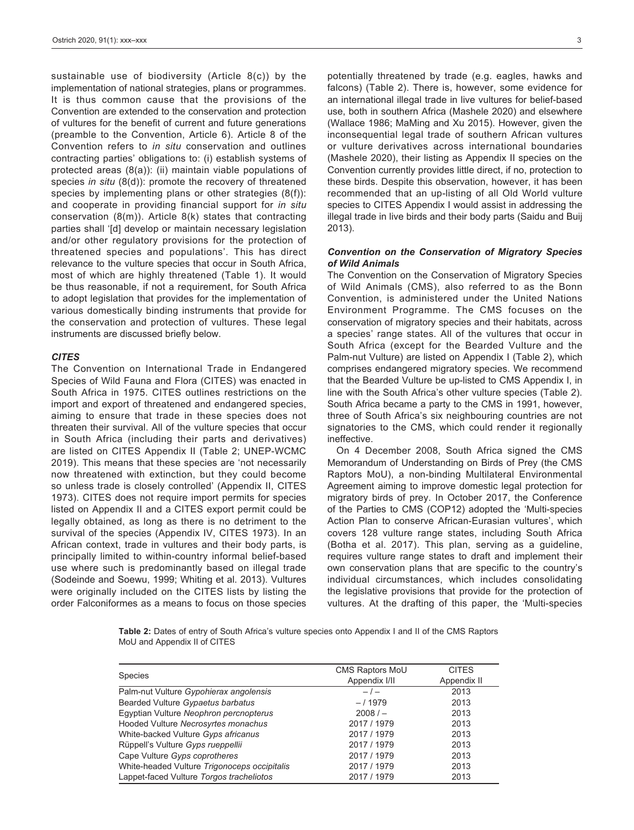sustainable use of biodiversity (Article 8(c)) by the implementation of national strategies, plans or programmes. It is thus common cause that the provisions of the Convention are extended to the conservation and protection of vultures for the benefit of current and future generations (preamble to the Convention, Article 6). Article 8 of the Convention refers to *in situ* conservation and outlines contracting parties' obligations to: (i) establish systems of protected areas (8(a)): (ii) maintain viable populations of species *in situ* (8(d)): promote the recovery of threatened species by implementing plans or other strategies (8(f)): and cooperate in providing financial support for *in situ* conservation (8(m)). Article 8(k) states that contracting parties shall '[d] develop or maintain necessary legislation and/or other regulatory provisions for the protection of threatened species and populations'. This has direct relevance to the vulture species that occur in South Africa, most of which are highly threatened (Table 1). It would be thus reasonable, if not a requirement, for South Africa to adopt legislation that provides for the implementation of various domestically binding instruments that provide for the conservation and protection of vultures. These legal instruments are discussed briefly below.

### *CITES*

The Convention on International Trade in Endangered Species of Wild Fauna and Flora (CITES) was enacted in South Africa in 1975. CITES outlines restrictions on the import and export of threatened and endangered species, aiming to ensure that trade in these species does not threaten their survival. All of the vulture species that occur in South Africa (including their parts and derivatives) are listed on CITES Appendix II (Table 2; UNEP-WCMC 2019). This means that these species are 'not necessarily now threatened with extinction, but they could become so unless trade is closely controlled' (Appendix II, CITES 1973). CITES does not require import permits for species listed on Appendix II and a CITES export permit could be legally obtained, as long as there is no detriment to the survival of the species (Appendix IV, CITES 1973). In an African context, trade in vultures and their body parts, is principally limited to within-country informal belief-based use where such is predominantly based on illegal trade (Sodeinde and Soewu, 1999; Whiting et al. 2013). Vultures were originally included on the CITES lists by listing the order Falconiformes as a means to focus on those species

potentially threatened by trade (e.g. eagles, hawks and falcons) (Table 2). There is, however, some evidence for an international illegal trade in live vultures for belief-based use, both in southern Africa (Mashele 2020) and elsewhere (Wallace 1986; MaMing and Xu 2015). However, given the inconsequential legal trade of southern African vultures or vulture derivatives across international boundaries (Mashele 2020), their listing as Appendix II species on the Convention currently provides little direct, if no, protection to these birds. Despite this observation, however, it has been recommended that an up-listing of all Old World vulture species to CITES Appendix I would assist in addressing the illegal trade in live birds and their body parts (Saidu and Buij 2013).

## *Convention on the Conservation of Migratory Species of Wild Animals*

The Convention on the Conservation of Migratory Species of Wild Animals (CMS), also referred to as the Bonn Convention, is administered under the United Nations Environment Programme. The CMS focuses on the conservation of migratory species and their habitats, across a species' range states. All of the vultures that occur in South Africa (except for the Bearded Vulture and the Palm-nut Vulture) are listed on Appendix I (Table 2), which comprises endangered migratory species. We recommend that the Bearded Vulture be up-listed to CMS Appendix I, in line with the South Africa's other vulture species (Table 2). South Africa became a party to the CMS in 1991, however, three of South Africa's six neighbouring countries are not signatories to the CMS, which could render it regionally ineffective.

On 4 December 2008, South Africa signed the CMS Memorandum of Understanding on Birds of Prey (the CMS Raptors MoU), a non-binding Multilateral Environmental Agreement aiming to improve domestic legal protection for migratory birds of prey. In October 2017, the Conference of the Parties to CMS (COP12) adopted the 'Multi-species Action Plan to conserve African-Eurasian vultures', which covers 128 vulture range states, including South Africa (Botha et al. 2017). This plan, serving as a guideline, requires vulture range states to draft and implement their own conservation plans that are specific to the country's individual circumstances, which includes consolidating the legislative provisions that provide for the protection of vultures. At the drafting of this paper, the 'Multi-species

**Table 2:** Dates of entry of South Africa's vulture species onto Appendix I and II of the CMS Raptors MoU and Appendix II of CITES

| <b>Species</b>                               | CMS Raptors MoU | <b>CITES</b> |
|----------------------------------------------|-----------------|--------------|
|                                              | Appendix I/II   | Appendix II  |
| Palm-nut Vulture Gypohierax angolensis       | $-1-$           | 2013         |
| Bearded Vulture Gypaetus barbatus            | $-/1979$        | 2013         |
| Egyptian Vulture Neophron percnopterus       | 2008/           | 2013         |
| Hooded Vulture Necrosyrtes monachus          | 2017 / 1979     | 2013         |
| White-backed Vulture Gyps africanus          | 2017 / 1979     | 2013         |
| Rüppell's Vulture Gyps rueppellii            | 2017 / 1979     | 2013         |
| Cape Vulture Gyps coprotheres                | 2017 / 1979     | 2013         |
| White-headed Vulture Trigonoceps occipitalis | 2017 / 1979     | 2013         |
| Lappet-faced Vulture Torgos tracheliotos     | 2017 / 1979     | 2013         |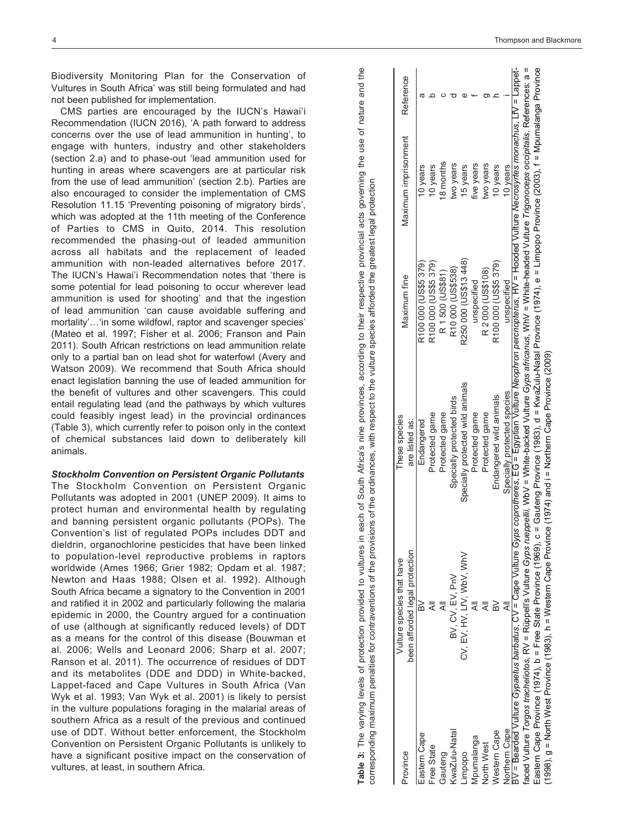Biodiversity Monitoring Plan for the Conservation of Vultures in South Africa' was still being formulated and had not been published for implementation.

CMS parties are encouraged by the IUCN's Hawai'i Recommendation (IUCN 2016), 'A path forward to address concerns over the use of lead ammunition in hunting', to engage with hunters, industry and other stakeholders (section 2.a) and to phase-out 'lead ammunition used for hunting in areas where scavengers are at particular risk from the use of lead ammunition' (section 2.b). Parties are also encouraged to consider the implementation of CMS Resolution 11.15 'Preventing poisoning of migratory birds', which was adopted at the 11th meeting of the Conference of Parties to CMS in Quito, 2014. This resolution recommended the phasing-out of leaded ammunition across all habitats and the replacement of leaded ammunition with non-leaded alternatives before 2017. The IUCN's Hawai'i Recommendation notes that 'there is some potential for lead poisoning to occur wherever lead ammunition is used for shooting' and that the ingestion of lead ammunition 'can cause avoidable suffering and mortality'…'in some wildfowl, raptor and scavenger species' (Mateo et al. 1997; Fisher et al. 2006; Franson and Pain 2011). South African restrictions on lead ammunition relate only to a partial ban on lead shot for waterfowl (Avery and Watson 2009). We recommend that South Africa should enact legislation banning the use of leaded ammunition for the benefit of vultures and other scavengers. This could entail regulating lead (and the pathways by which vultures could feasibly ingest lead) in the provincial ordinances (Table 3), which currently refer to poison only in the context of chemical substances laid down to deliberately kill animals.

*Stockholm Convention on Persistent Organic Pollutants* The Stockholm Convention on Persistent Organic Pollutants was adopted in 2001 (UNEP 2009). It aims to protect human and environmental health by regulating and banning persistent organic pollutants (POPs). The Convention's list of regulated POPs includes DDT and dieldrin, organochlorine pesticides that have been linked to population-level reproductive problems in raptors worldwide (Ames 1966; Grier 1982; Opdam et al. 1987; Newton and Haas 1988; Olsen et al. 1992). Although South Africa became a signatory to the Convention in 2001 and ratified it in 2002 and particularly following the malaria epidemic in 2000, the Country argued for a continuation of use (although at significantly reduced levels) of DDT as a means for the control of this disease (Bouwman et al. 2006; Wells and Leonard 2006; Sharp et al. 2007; Ranson et al. 2011). The occurrence of residues of DDT and its metabolites (DDE and DDD) in White-backed, Lappet-faced and Cape Vultures in South Africa (Van Wyk et al. 1993; Van Wyk et al. 2001) is likely to persist in the vulture populations foraging in the malarial areas of southern Africa as a result of the previous and continued use of DDT. Without better enforcement, the Stockholm Convention on Persistent Organic Pollutants is unlikely to have a significant positive impact on the conservation of vultures, at least, in southern Africa.

Table 3: The varying levels of protection provided to vultures in each of South Africa's nine provinces, according to their respective provincial acts governing the use of nature and the The varying levels of protection provided to vultures in each of South Africa's nine provinces, according to their respective provincial acts governing the use of nature and the greatest legal protection corresponding maximum penalties for contraventions of the provisions of the ordinances, with respect to the vulture species afforded the greatest legal protectioncorresponding maximum penalties for contraventions of the provisions of the ordinances, with respect to the vulture species afforded the **Table 3:** 

| 3yps <i>coprotheres</i> , EG = Egyptian Vulture Neop <i>hron percnopterus</i> , HV = Hooded Vulture Necros <i>yrtes monachus</i> , LfV = Lappet-<br>faced Vulture Torgos tracheliotos, RV = Rüppell's Vulture Gyps rueppellii, WbV = White-backed Vulture Gyps africanus, WhV = White-headed Vulture Trigonoceps occipitalis. References: a =<br>Eastern Cape Province (1974), b = Free State Province (1969), c = Gauteng Province (1983), d = KwaZulu-Natal Province (1974), e = Limpopo Province (2003), f = Mpumalanga Province<br>R250 000 (US\$13 448)<br>R100 000 (US\$5 379)<br>R100 000 (US\$5 379)<br>R100 000 (US\$5 379)<br>R10 000 (US\$538)<br>R 2 000 (US\$108)<br>R 1500 (US\$81)<br>unspecified<br>unspecified<br>Specially protected wild animals<br>Specially protected species<br>Endangered wild animals<br>Specially protected birds<br>Protected game<br>Protected game<br>Protected game<br>Protected game<br>are listed as:<br>Endangered<br>BV = Bearded Vulture Gypaetus barbatus, CV = Cape Vulture (<br>been afforded legal protection<br>CV, EV, HV, LIV, WbV, WhV<br>BV, CV, EV, PnV<br>$\geq$<br>Northern Cape<br>KwaZulu-Natal<br>Western Cape<br>Eastern Cape<br>Mpumalanga<br>North West<br>Free State<br>Gauteng<br>pobodui | Province | Vulture species that have | These species | Maximum fine |                      | Reference |
|-----------------------------------------------------------------------------------------------------------------------------------------------------------------------------------------------------------------------------------------------------------------------------------------------------------------------------------------------------------------------------------------------------------------------------------------------------------------------------------------------------------------------------------------------------------------------------------------------------------------------------------------------------------------------------------------------------------------------------------------------------------------------------------------------------------------------------------------------------------------------------------------------------------------------------------------------------------------------------------------------------------------------------------------------------------------------------------------------------------------------------------------------------------------------------------------------------------------------------------------------------------------|----------|---------------------------|---------------|--------------|----------------------|-----------|
|                                                                                                                                                                                                                                                                                                                                                                                                                                                                                                                                                                                                                                                                                                                                                                                                                                                                                                                                                                                                                                                                                                                                                                                                                                                                 |          |                           |               |              | Maximum imprisonment |           |
|                                                                                                                                                                                                                                                                                                                                                                                                                                                                                                                                                                                                                                                                                                                                                                                                                                                                                                                                                                                                                                                                                                                                                                                                                                                                 |          |                           |               |              | 10 years             |           |
|                                                                                                                                                                                                                                                                                                                                                                                                                                                                                                                                                                                                                                                                                                                                                                                                                                                                                                                                                                                                                                                                                                                                                                                                                                                                 |          |                           |               |              | 10 years             |           |
|                                                                                                                                                                                                                                                                                                                                                                                                                                                                                                                                                                                                                                                                                                                                                                                                                                                                                                                                                                                                                                                                                                                                                                                                                                                                 |          |                           |               |              | 18 months            |           |
|                                                                                                                                                                                                                                                                                                                                                                                                                                                                                                                                                                                                                                                                                                                                                                                                                                                                                                                                                                                                                                                                                                                                                                                                                                                                 |          |                           |               |              | two years            |           |
|                                                                                                                                                                                                                                                                                                                                                                                                                                                                                                                                                                                                                                                                                                                                                                                                                                                                                                                                                                                                                                                                                                                                                                                                                                                                 |          |                           |               |              | 15 years             |           |
|                                                                                                                                                                                                                                                                                                                                                                                                                                                                                                                                                                                                                                                                                                                                                                                                                                                                                                                                                                                                                                                                                                                                                                                                                                                                 |          |                           |               |              | five years           |           |
|                                                                                                                                                                                                                                                                                                                                                                                                                                                                                                                                                                                                                                                                                                                                                                                                                                                                                                                                                                                                                                                                                                                                                                                                                                                                 |          |                           |               |              | two years            |           |
|                                                                                                                                                                                                                                                                                                                                                                                                                                                                                                                                                                                                                                                                                                                                                                                                                                                                                                                                                                                                                                                                                                                                                                                                                                                                 |          |                           |               |              | 10 years             |           |
|                                                                                                                                                                                                                                                                                                                                                                                                                                                                                                                                                                                                                                                                                                                                                                                                                                                                                                                                                                                                                                                                                                                                                                                                                                                                 |          |                           |               |              | 10 years             |           |
|                                                                                                                                                                                                                                                                                                                                                                                                                                                                                                                                                                                                                                                                                                                                                                                                                                                                                                                                                                                                                                                                                                                                                                                                                                                                 |          |                           |               |              |                      |           |
| (1998), g = North West Province (1983), h = Western Cape Province (1974) and i = Northern Cape Province (2009)                                                                                                                                                                                                                                                                                                                                                                                                                                                                                                                                                                                                                                                                                                                                                                                                                                                                                                                                                                                                                                                                                                                                                  |          |                           |               |              |                      |           |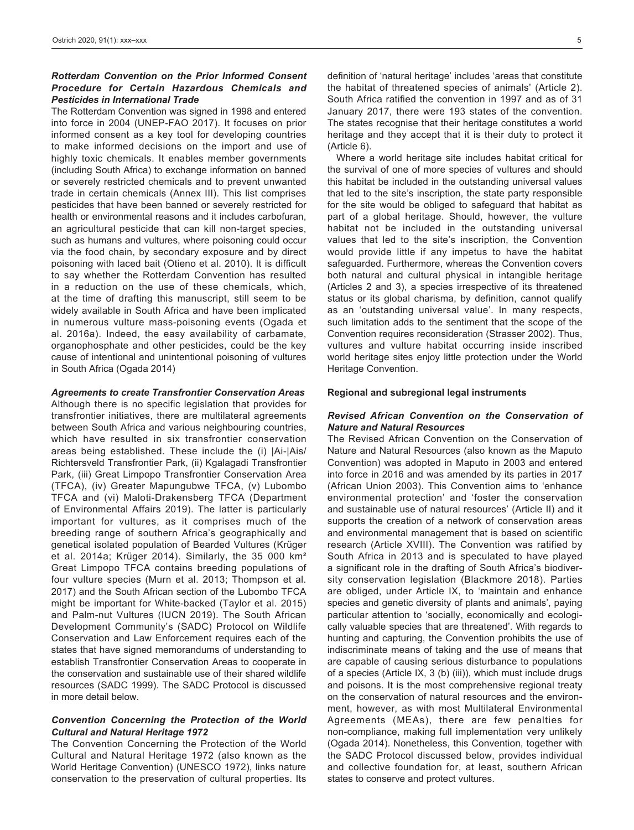# *Rotterdam Convention on the Prior Informed Consent Procedure for Certain Hazardous Chemicals and Pesticides in International Trade*

The Rotterdam Convention was signed in 1998 and entered into force in 2004 (UNEP-FAO 2017). It focuses on prior informed consent as a key tool for developing countries to make informed decisions on the import and use of highly toxic chemicals. It enables member governments (including South Africa) to exchange information on banned or severely restricted chemicals and to prevent unwanted trade in certain chemicals (Annex III). This list comprises pesticides that have been banned or severely restricted for health or environmental reasons and it includes carbofuran, an agricultural pesticide that can kill non-target species, such as humans and vultures, where poisoning could occur via the food chain, by secondary exposure and by direct poisoning with laced bait (Otieno et al. 2010). It is difficult to say whether the Rotterdam Convention has resulted in a reduction on the use of these chemicals, which, at the time of drafting this manuscript, still seem to be widely available in South Africa and have been implicated in numerous vulture mass-poisoning events (Ogada et al. 2016a). Indeed, the easy availability of carbamate, organophosphate and other pesticides, could be the key cause of intentional and unintentional poisoning of vultures in South Africa (Ogada 2014)

#### *Agreements to create Transfrontier Conservation Areas*

Although there is no specific legislation that provides for transfrontier initiatives, there are multilateral agreements between South Africa and various neighbouring countries, which have resulted in six transfrontier conservation areas being established. These include the (i) |Ai-|Ais/ Richtersveld Transfrontier Park, (ii) Kgalagadi Transfrontier Park, (iii) Great Limpopo Transfrontier Conservation Area (TFCA), (iv) Greater Mapungubwe TFCA, (v) Lubombo TFCA and (vi) Maloti-Drakensberg TFCA (Department of Environmental Affairs 2019). The latter is particularly important for vultures, as it comprises much of the breeding range of southern Africa's geographically and genetical isolated population of Bearded Vultures (Krüger et al. 2014a; Krüger 2014). Similarly, the 35 000 km² Great Limpopo TFCA contains breeding populations of four vulture species (Murn et al. 2013; Thompson et al. 2017) and the South African section of the Lubombo TFCA might be important for White-backed (Taylor et al. 2015) and Palm-nut Vultures (IUCN 2019). The South African Development Community's (SADC) Protocol on Wildlife Conservation and Law Enforcement requires each of the states that have signed memorandums of understanding to establish Transfrontier Conservation Areas to cooperate in the conservation and sustainable use of their shared wildlife resources (SADC 1999). The SADC Protocol is discussed in more detail below.

## *Convention Concerning the Protection of the World Cultural and Natural Heritage 1972*

The Convention Concerning the Protection of the World Cultural and Natural Heritage 1972 (also known as the World Heritage Convention) (UNESCO 1972), links nature conservation to the preservation of cultural properties. Its

definition of 'natural heritage' includes 'areas that constitute the habitat of threatened species of animals' (Article 2). South Africa ratified the convention in 1997 and as of 31 January 2017, there were 193 states of the convention. The states recognise that their heritage constitutes a world heritage and they accept that it is their duty to protect it (Article 6).

Where a world heritage site includes habitat critical for the survival of one of more species of vultures and should this habitat be included in the outstanding universal values that led to the site's inscription, the state party responsible for the site would be obliged to safeguard that habitat as part of a global heritage. Should, however, the vulture habitat not be included in the outstanding universal values that led to the site's inscription, the Convention would provide little if any impetus to have the habitat safeguarded. Furthermore, whereas the Convention covers both natural and cultural physical in intangible heritage (Articles 2 and 3), a species irrespective of its threatened status or its global charisma, by definition, cannot qualify as an 'outstanding universal value'. In many respects, such limitation adds to the sentiment that the scope of the Convention requires reconsideration (Strasser 2002). Thus, vultures and vulture habitat occurring inside inscribed world heritage sites enjoy little protection under the World Heritage Convention.

#### **Regional and subregional legal instruments**

# *Revised African Convention on the Conservation of Nature and Natural Resources*

The Revised African Convention on the Conservation of Nature and Natural Resources (also known as the Maputo Convention) was adopted in Maputo in 2003 and entered into force in 2016 and was amended by its parties in 2017 (African Union 2003). This Convention aims to 'enhance environmental protection' and 'foster the conservation and sustainable use of natural resources' (Article II) and it supports the creation of a network of conservation areas and environmental management that is based on scientific research (Article XVIII). The Convention was ratified by South Africa in 2013 and is speculated to have played a significant role in the drafting of South Africa's biodiversity conservation legislation (Blackmore 2018). Parties are obliged, under Article IX, to 'maintain and enhance species and genetic diversity of plants and animals', paying particular attention to 'socially, economically and ecologically valuable species that are threatened'. With regards to hunting and capturing, the Convention prohibits the use of indiscriminate means of taking and the use of means that are capable of causing serious disturbance to populations of a species (Article IX, 3 (b) (iii)), which must include drugs and poisons. It is the most comprehensive regional treaty on the conservation of natural resources and the environment, however, as with most Multilateral Environmental Agreements (MEAs), there are few penalties for non-compliance, making full implementation very unlikely (Ogada 2014). Nonetheless, this Convention, together with the SADC Protocol discussed below, provides individual and collective foundation for, at least, southern African states to conserve and protect vultures.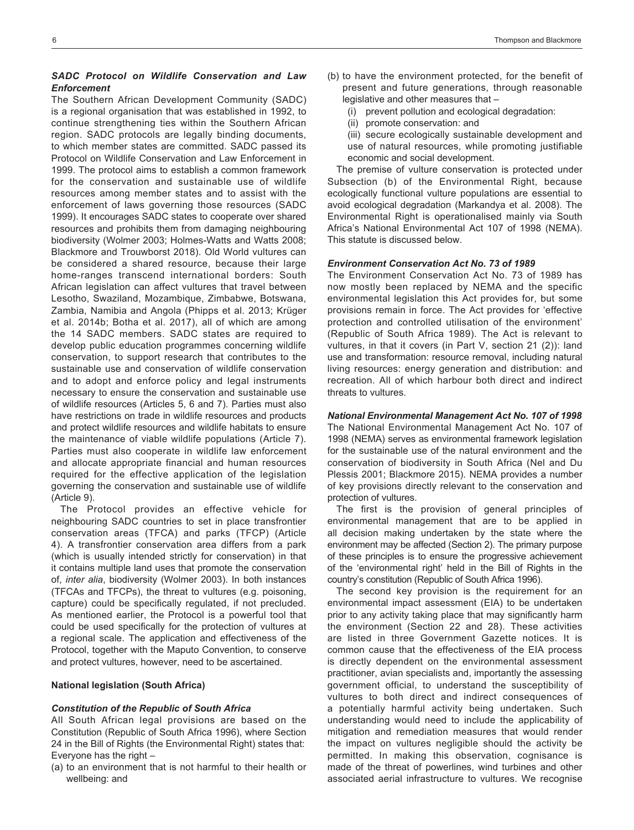# *SADC Protocol on Wildlife Conservation and Law Enforcement*

The Southern African Development Community (SADC) is a regional organisation that was established in 1992, to continue strengthening ties within the Southern African region. SADC protocols are legally binding documents, to which member states are committed. SADC passed its Protocol on Wildlife Conservation and Law Enforcement in 1999. The protocol aims to establish a common framework for the conservation and sustainable use of wildlife resources among member states and to assist with the enforcement of laws governing those resources (SADC 1999). It encourages SADC states to cooperate over shared resources and prohibits them from damaging neighbouring biodiversity (Wolmer 2003; Holmes-Watts and Watts 2008; Blackmore and Trouwborst 2018). Old World vultures can be considered a shared resource, because their large home-ranges transcend international borders: South African legislation can affect vultures that travel between Lesotho, Swaziland, Mozambique, Zimbabwe, Botswana, Zambia, Namibia and Angola (Phipps et al. 2013; Krüger et al. 2014b; Botha et al. 2017), all of which are among the 14 SADC members. SADC states are required to develop public education programmes concerning wildlife conservation, to support research that contributes to the sustainable use and conservation of wildlife conservation and to adopt and enforce policy and legal instruments necessary to ensure the conservation and sustainable use of wildlife resources (Articles 5, 6 and 7). Parties must also have restrictions on trade in wildlife resources and products and protect wildlife resources and wildlife habitats to ensure the maintenance of viable wildlife populations (Article 7). Parties must also cooperate in wildlife law enforcement and allocate appropriate financial and human resources required for the effective application of the legislation governing the conservation and sustainable use of wildlife (Article 9).

The Protocol provides an effective vehicle for neighbouring SADC countries to set in place transfrontier conservation areas (TFCA) and parks (TFCP) (Article 4). A transfrontier conservation area differs from a park (which is usually intended strictly for conservation) in that it contains multiple land uses that promote the conservation of, *inter alia*, biodiversity (Wolmer 2003). In both instances (TFCAs and TFCPs), the threat to vultures (e.g. poisoning, capture) could be specifically regulated, if not precluded. As mentioned earlier, the Protocol is a powerful tool that could be used specifically for the protection of vultures at a regional scale. The application and effectiveness of the Protocol, together with the Maputo Convention, to conserve and protect vultures, however, need to be ascertained.

#### **National legislation (South Africa)**

#### *Constitution of the Republic of South Africa*

All South African legal provisions are based on the Constitution (Republic of South Africa 1996), where Section 24 in the Bill of Rights (the Environmental Right) states that: Everyone has the right  $-$ 

(a) to an environment that is not harmful to their health or wellbeing: and

- (b) to have the environment protected, for the benefit of present and future generations, through reasonable legislative and other measures that –
	- (i) prevent pollution and ecological degradation:
	- (ii) promote conservation: and
	- (iii) secure ecologically sustainable development and use of natural resources, while promoting justifiable economic and social development.

The premise of vulture conservation is protected under Subsection (b) of the Environmental Right, because ecologically functional vulture populations are essential to avoid ecological degradation (Markandya et al. 2008). The Environmental Right is operationalised mainly via South Africa's National Environmental Act 107 of 1998 (NEMA). This statute is discussed below.

#### *Environment Conservation Act No. 73 of 1989*

The Environment Conservation Act No. 73 of 1989 has now mostly been replaced by NEMA and the specific environmental legislation this Act provides for, but some provisions remain in force. The Act provides for 'effective protection and controlled utilisation of the environment' (Republic of South Africa 1989). The Act is relevant to vultures, in that it covers (in Part V, section 21 (2)): land use and transformation: resource removal, including natural living resources: energy generation and distribution: and recreation. All of which harbour both direct and indirect threats to vultures.

*National Environmental Management Act No. 107 of 1998* The National Environmental Management Act No. 107 of 1998 (NEMA) serves as environmental framework legislation for the sustainable use of the natural environment and the conservation of biodiversity in South Africa (Nel and Du Plessis 2001; Blackmore 2015). NEMA provides a number of key provisions directly relevant to the conservation and protection of vultures.

The first is the provision of general principles of environmental management that are to be applied in all decision making undertaken by the state where the environment may be affected (Section 2). The primary purpose of these principles is to ensure the progressive achievement of the 'environmental right' held in the Bill of Rights in the country's constitution (Republic of South Africa 1996).

The second key provision is the requirement for an environmental impact assessment (EIA) to be undertaken prior to any activity taking place that may significantly harm the environment (Section 22 and 28). These activities are listed in three Government Gazette notices. It is common cause that the effectiveness of the EIA process is directly dependent on the environmental assessment practitioner, avian specialists and, importantly the assessing government official, to understand the susceptibility of vultures to both direct and indirect consequences of a potentially harmful activity being undertaken. Such understanding would need to include the applicability of mitigation and remediation measures that would render the impact on vultures negligible should the activity be permitted. In making this observation, cognisance is made of the threat of powerlines, wind turbines and other associated aerial infrastructure to vultures. We recognise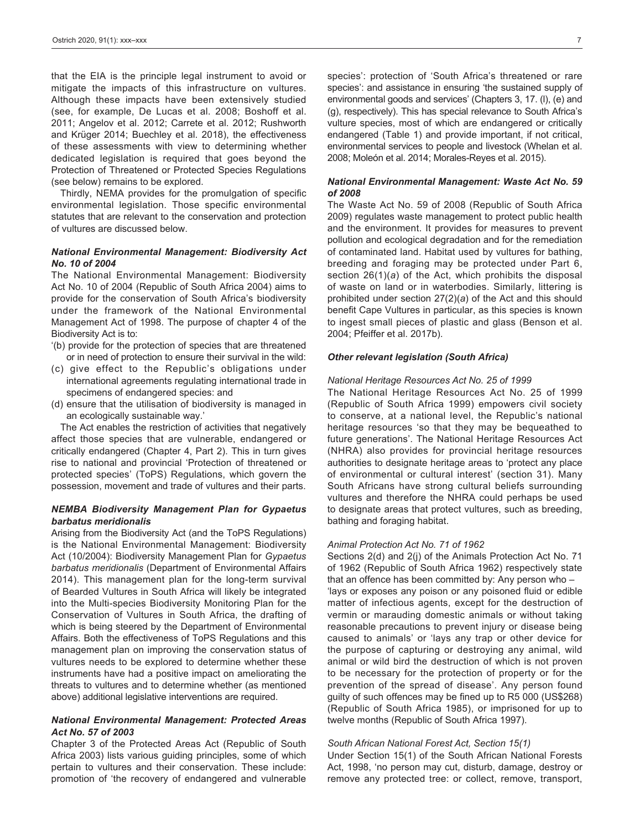that the EIA is the principle legal instrument to avoid or mitigate the impacts of this infrastructure on vultures. Although these impacts have been extensively studied (see, for example, De Lucas et al. 2008; Boshoff et al. 2011; Angelov et al. 2012; Carrete et al. 2012; Rushworth and Krüger 2014; Buechley et al. 2018), the effectiveness of these assessments with view to determining whether dedicated legislation is required that goes beyond the Protection of Threatened or Protected Species Regulations (see below) remains to be explored.

Thirdly, NEMA provides for the promulgation of specific environmental legislation. Those specific environmental statutes that are relevant to the conservation and protection of vultures are discussed below.

# *National Environmental Management: Biodiversity Act No. 10 of 2004*

The National Environmental Management: Biodiversity Act No. 10 of 2004 (Republic of South Africa 2004) aims to provide for the conservation of South Africa's biodiversity under the framework of the National Environmental Management Act of 1998. The purpose of chapter 4 of the Biodiversity Act is to:

- '(b) provide for the protection of species that are threatened or in need of protection to ensure their survival in the wild:
- (c) give effect to the Republic's obligations under international agreements regulating international trade in specimens of endangered species: and
- (d) ensure that the utilisation of biodiversity is managed in an ecologically sustainable way.'

The Act enables the restriction of activities that negatively affect those species that are vulnerable, endangered or critically endangered (Chapter 4, Part 2). This in turn gives rise to national and provincial 'Protection of threatened or protected species' (ToPS) Regulations, which govern the possession, movement and trade of vultures and their parts.

# *NEMBA Biodiversity Management Plan for Gypaetus barbatus meridionalis*

Arising from the Biodiversity Act (and the ToPS Regulations) is the National Environmental Management: Biodiversity Act (10/2004): Biodiversity Management Plan for *Gypaetus barbatus meridionalis* (Department of Environmental Affairs 2014). This management plan for the long-term survival of Bearded Vultures in South Africa will likely be integrated into the Multi-species Biodiversity Monitoring Plan for the Conservation of Vultures in South Africa, the drafting of which is being steered by the Department of Environmental Affairs. Both the effectiveness of ToPS Regulations and this management plan on improving the conservation status of vultures needs to be explored to determine whether these instruments have had a positive impact on ameliorating the threats to vultures and to determine whether (as mentioned above) additional legislative interventions are required.

# *National Environmental Management: Protected Areas Act No. 57 of 2003*

Chapter 3 of the Protected Areas Act (Republic of South Africa 2003) lists various guiding principles, some of which pertain to vultures and their conservation. These include: promotion of 'the recovery of endangered and vulnerable

species': protection of 'South Africa's threatened or rare species': and assistance in ensuring 'the sustained supply of environmental goods and services' (Chapters 3, 17. (l), (e) and (g), respectively). This has special relevance to South Africa's vulture species, most of which are endangered or critically endangered (Table 1) and provide important, if not critical, environmental services to people and livestock (Whelan et al. 2008; Moleón et al. 2014; Morales-Reyes et al. 2015).

# *National Environmental Management: Waste Act No. 59 of 2008*

The Waste Act No. 59 of 2008 (Republic of South Africa 2009) regulates waste management to protect public health and the environment. It provides for measures to prevent pollution and ecological degradation and for the remediation of contaminated land. Habitat used by vultures for bathing, breeding and foraging may be protected under Part 6, section 26(1)(*a*) of the Act, which prohibits the disposal of waste on land or in waterbodies. Similarly, littering is prohibited under section 27(2)(*a*) of the Act and this should benefit Cape Vultures in particular, as this species is known to ingest small pieces of plastic and glass (Benson et al. 2004; Pfeiffer et al. 2017b).

# *Other relevant legislation (South Africa)*

#### *National Heritage Resources Act No. 25 of 1999*

The National Heritage Resources Act No. 25 of 1999 (Republic of South Africa 1999) empowers civil society to conserve, at a national level, the Republic's national heritage resources 'so that they may be bequeathed to future generations'. The National Heritage Resources Act (NHRA) also provides for provincial heritage resources authorities to designate heritage areas to 'protect any place of environmental or cultural interest' (section 31). Many South Africans have strong cultural beliefs surrounding vultures and therefore the NHRA could perhaps be used to designate areas that protect vultures, such as breeding, bathing and foraging habitat.

#### *Animal Protection Act No. 71 of 1962*

Sections 2(d) and 2(j) of the Animals Protection Act No. 71 of 1962 (Republic of South Africa 1962) respectively state that an offence has been committed by: Any person who – 'lays or exposes any poison or any poisoned fluid or edible matter of infectious agents, except for the destruction of vermin or marauding domestic animals or without taking reasonable precautions to prevent injury or disease being caused to animals' or 'lays any trap or other device for the purpose of capturing or destroying any animal, wild animal or wild bird the destruction of which is not proven to be necessary for the protection of property or for the prevention of the spread of disease'. Any person found guilty of such offences may be fined up to R5 000 (US\$268) (Republic of South Africa 1985), or imprisoned for up to twelve months (Republic of South Africa 1997).

#### *South African National Forest Act, Section 15(1)*

Under Section 15(1) of the South African National Forests Act, 1998, 'no person may cut, disturb, damage, destroy or remove any protected tree: or collect, remove, transport,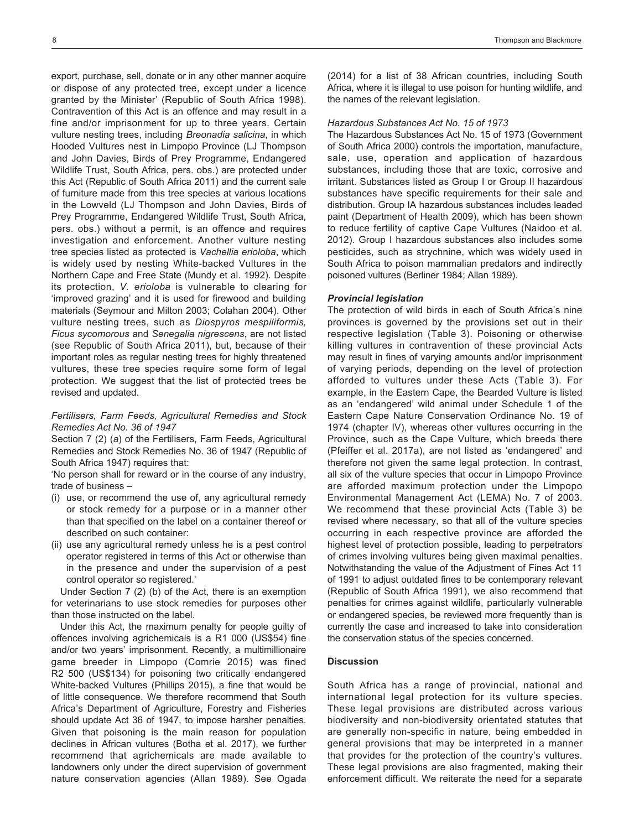export, purchase, sell, donate or in any other manner acquire or dispose of any protected tree, except under a licence granted by the Minister' (Republic of South Africa 1998). Contravention of this Act is an offence and may result in a fine and/or imprisonment for up to three years. Certain vulture nesting trees, including *Breonadia salicina*, in which Hooded Vultures nest in Limpopo Province (LJ Thompson and John Davies, Birds of Prey Programme, Endangered Wildlife Trust, South Africa, pers. obs.) are protected under this Act (Republic of South Africa 2011) and the current sale of furniture made from this tree species at various locations in the Lowveld (LJ Thompson and John Davies, Birds of Prey Programme, Endangered Wildlife Trust, South Africa, pers. obs.) without a permit, is an offence and requires investigation and enforcement. Another vulture nesting tree species listed as protected is *Vachellia erioloba*, which is widely used by nesting White-backed Vultures in the Northern Cape and Free State (Mundy et al. 1992). Despite its protection, *V. erioloba* is vulnerable to clearing for 'improved grazing' and it is used for firewood and building materials (Seymour and Milton 2003; Colahan 2004). Other vulture nesting trees, such as *Diospyros mespiliformis, Ficus sycomorous* and *Senegalia nigrescens*, are not listed (see Republic of South Africa 2011), but, because of their important roles as regular nesting trees for highly threatened vultures, these tree species require some form of legal protection. We suggest that the list of protected trees be revised and updated.

# *Fertilisers, Farm Feeds, Agricultural Remedies and Stock Remedies Act No. 36 of 1947*

Section 7 (2) (*a*) of the Fertilisers, Farm Feeds, Agricultural Remedies and Stock Remedies No. 36 of 1947 (Republic of South Africa 1947) requires that:

'No person shall for reward or in the course of any industry, trade of business –

- (i) use, or recommend the use of, any agricultural remedy or stock remedy for a purpose or in a manner other than that specified on the label on a container thereof or described on such container:
- (ii) use any agricultural remedy unless he is a pest control operator registered in terms of this Act or otherwise than in the presence and under the supervision of a pest control operator so registered.'

Under Section 7 (2) (b) of the Act, there is an exemption for veterinarians to use stock remedies for purposes other than those instructed on the label.

Under this Act, the maximum penalty for people guilty of offences involving agrichemicals is a R1 000 (US\$54) fine and/or two years' imprisonment. Recently, a multimillionaire game breeder in Limpopo (Comrie 2015) was fined R2 500 (US\$134) for poisoning two critically endangered White-backed Vultures (Phillips 2015), a fine that would be of little consequence. We therefore recommend that South Africa's Department of Agriculture, Forestry and Fisheries should update Act 36 of 1947, to impose harsher penalties. Given that poisoning is the main reason for population declines in African vultures (Botha et al. 2017), we further recommend that agrichemicals are made available to landowners only under the direct supervision of government nature conservation agencies (Allan 1989). See Ogada

(2014) for a list of 38 African countries, including South Africa, where it is illegal to use poison for hunting wildlife, and the names of the relevant legislation.

# *Hazardous Substances Act No. 15 of 1973*

The Hazardous Substances Act No. 15 of 1973 (Government of South Africa 2000) controls the importation, manufacture, sale, use, operation and application of hazardous substances, including those that are toxic, corrosive and irritant. Substances listed as Group I or Group II hazardous substances have specific requirements for their sale and distribution. Group IA hazardous substances includes leaded paint (Department of Health 2009), which has been shown to reduce fertility of captive Cape Vultures (Naidoo et al. 2012). Group I hazardous substances also includes some pesticides, such as strychnine, which was widely used in South Africa to poison mammalian predators and indirectly poisoned vultures (Berliner 1984; Allan 1989).

#### *Provincial legislation*

The protection of wild birds in each of South Africa's nine provinces is governed by the provisions set out in their respective legislation (Table 3). Poisoning or otherwise killing vultures in contravention of these provincial Acts may result in fines of varying amounts and/or imprisonment of varying periods, depending on the level of protection afforded to vultures under these Acts (Table 3). For example, in the Eastern Cape, the Bearded Vulture is listed as an 'endangered' wild animal under Schedule 1 of the Eastern Cape Nature Conservation Ordinance No. 19 of 1974 (chapter IV), whereas other vultures occurring in the Province, such as the Cape Vulture, which breeds there (Pfeiffer et al. 2017a), are not listed as 'endangered' and therefore not given the same legal protection. In contrast, all six of the vulture species that occur in Limpopo Province are afforded maximum protection under the Limpopo Environmental Management Act (LEMA) No. 7 of 2003. We recommend that these provincial Acts (Table 3) be revised where necessary, so that all of the vulture species occurring in each respective province are afforded the highest level of protection possible, leading to perpetrators of crimes involving vultures being given maximal penalties. Notwithstanding the value of the Adjustment of Fines Act 11 of 1991 to adjust outdated fines to be contemporary relevant (Republic of South Africa 1991), we also recommend that penalties for crimes against wildlife, particularly vulnerable or endangered species, be reviewed more frequently than is currently the case and increased to take into consideration the conservation status of the species concerned.

#### **Discussion**

South Africa has a range of provincial, national and international legal protection for its vulture species. These legal provisions are distributed across various biodiversity and non-biodiversity orientated statutes that are generally non-specific in nature, being embedded in general provisions that may be interpreted in a manner that provides for the protection of the country's vultures. These legal provisions are also fragmented, making their enforcement difficult. We reiterate the need for a separate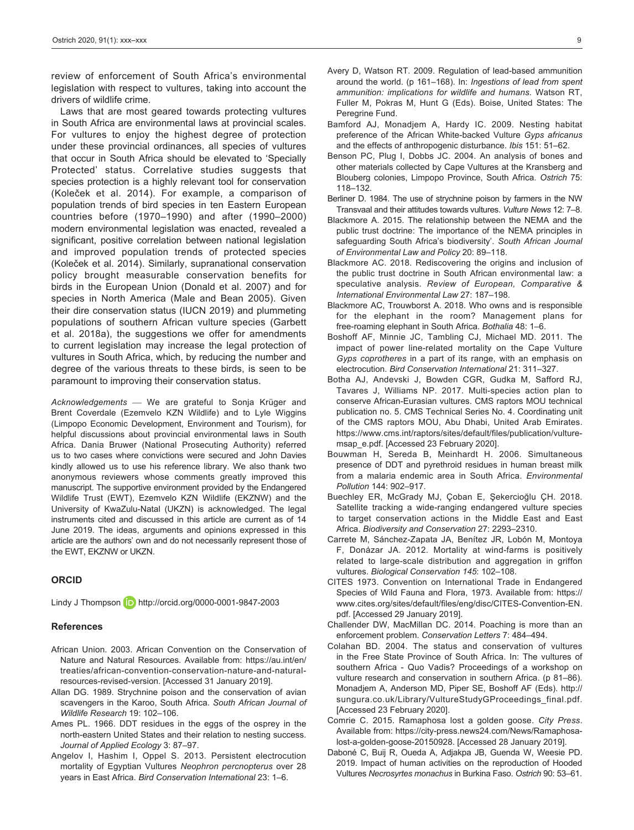review of enforcement of South Africa's environmental legislation with respect to vultures, taking into account the drivers of wildlife crime.

Laws that are most geared towards protecting vultures in South Africa are environmental laws at provincial scales. For vultures to enjoy the highest degree of protection under these provincial ordinances, all species of vultures that occur in South Africa should be elevated to 'Specially Protected' status. Correlative studies suggests that species protection is a highly relevant tool for conservation (Koleček et al. 2014). For example, a comparison of population trends of bird species in ten Eastern European countries before (1970–1990) and after (1990–2000) modern environmental legislation was enacted, revealed a significant, positive correlation between national legislation and improved population trends of protected species (Koleček et al. 2014). Similarly, supranational conservation policy brought measurable conservation benefits for birds in the European Union (Donald et al. 2007) and for species in North America (Male and Bean 2005). Given their dire conservation status (IUCN 2019) and plummeting populations of southern African vulture species (Garbett et al. 2018a), the suggestions we offer for amendments to current legislation may increase the legal protection of vultures in South Africa, which, by reducing the number and degree of the various threats to these birds, is seen to be paramount to improving their conservation status.

*Acknowledgements*  We are grateful to Sonja Krüger and Brent Coverdale (Ezemvelo KZN Wildlife) and to Lyle Wiggins (Limpopo Economic Development, Environment and Tourism), for helpful discussions about provincial environmental laws in South Africa. Dania Bruwer (National Prosecuting Authority) referred us to two cases where convictions were secured and John Davies kindly allowed us to use his reference library. We also thank two anonymous reviewers whose comments greatly improved this manuscript. The supportive environment provided by the Endangered Wildlife Trust (EWT), Ezemvelo KZN Wildlife (EKZNW) and the University of KwaZulu-Natal (UKZN) is acknowledged. The legal instruments cited and discussed in this article are current as of 14 June 2019. The ideas, arguments and opinions expressed in this article are the authors' own and do not necessarily represent those of the EWT, EKZNW or UKZN.

#### **ORCID**

Lindy J Thompson **iD** http://orcid.org/0000-0001-9847-2003

#### **References**

- African Union. 2003. African Convention on the Conservation of Nature and Natural Resources. Available from: https://au.int/en/ treaties/african-convention-conservation-nature-and-naturalresources-revised-version. [Accessed 31 January 2019].
- Allan DG. 1989. Strychnine poison and the conservation of avian scavengers in the Karoo, South Africa. *South African Journal of Wildlife Research* 19: 102–106.
- Ames PL. 1966. DDT residues in the eggs of the osprey in the north-eastern United States and their relation to nesting success. *Journal of Applied Ecology* 3: 87–97.
- Angelov I, Hashim I, Oppel S. 2013. Persistent electrocution mortality of Egyptian Vultures *Neophron percnopterus* over 28 years in East Africa. *Bird Conservation International* 23: 1–6.
- Avery D, Watson RT. 2009. Regulation of lead-based ammunition around the world. (p 161–168). In: *Ingestions of lead from spent ammunition: implications for wildlife and humans*. Watson RT, Fuller M, Pokras M, Hunt G (Eds). Boise, United States: The Peregrine Fund.
- Bamford AJ, Monadjem A, Hardy IC. 2009. Nesting habitat preference of the African White-backed Vulture *Gyps africanus* and the effects of anthropogenic disturbance. *Ibis* 151: 51–62.
- Benson PC, Plug I, Dobbs JC. 2004. An analysis of bones and other materials collected by Cape Vultures at the Kransberg and Blouberg colonies, Limpopo Province, South Africa. *Ostrich* 75: 118–132.
- Berliner D. 1984. The use of strychnine poison by farmers in the NW Transvaal and their attitudes towards vultures. *Vulture News* 12: 7–8.
- Blackmore A. 2015. The relationship between the NEMA and the public trust doctrine: The importance of the NEMA principles in safeguarding South Africa's biodiversity'. *South African Journal of Environmental Law and Policy* 20: 89–118.
- Blackmore AC. 2018. Rediscovering the origins and inclusion of the public trust doctrine in South African environmental law: a speculative analysis. *Review of European, Comparative & International Environmental Law* 27: 187–198.
- Blackmore AC, Trouwborst A. 2018. Who owns and is responsible for the elephant in the room? Management plans for free-roaming elephant in South Africa. *Bothalia* 48: 1–6.
- Boshoff AF, Minnie JC, Tambling CJ, Michael MD. 2011. The impact of power line-related mortality on the Cape Vulture *Gyps coprotheres* in a part of its range, with an emphasis on electrocution. *Bird Conservation International* 21: 311–327.
- Botha AJ, Andevski J, Bowden CGR, Gudka M, Safford RJ, Tavares J, Williams NP. 2017. Multi-species action plan to conserve African-Eurasian vultures. CMS raptors MOU technical publication no. 5. CMS Technical Series No. 4. Coordinating unit of the CMS raptors MOU, Abu Dhabi, United Arab Emirates. https://www.cms.int/raptors/sites/default/files/publication/vulturemsap\_e.pdf. [Accessed 23 February 2020].
- Bouwman H, Sereda B, Meinhardt H. 2006. Simultaneous presence of DDT and pyrethroid residues in human breast milk from a malaria endemic area in South Africa. *Environmental Pollution* 144: 902–917.
- Buechley ER, McGrady MJ, Çoban E, Şekercioğlu ÇH. 2018. Satellite tracking a wide-ranging endangered vulture species to target conservation actions in the Middle East and East Africa. *Biodiversity and Conservation* 27: 2293–2310.
- Carrete M, Sánchez-Zapata JA, Benítez JR, Lobón M, Montoya F, Donázar JA. 2012. Mortality at wind-farms is positively related to large-scale distribution and aggregation in griffon vultures. *Biological Conservation 145*: 102–108.
- CITES 1973. Convention on International Trade in Endangered Species of Wild Fauna and Flora, 1973. Available from: https:// www.cites.org/sites/default/files/eng/disc/CITES-Convention-EN. pdf. [Accessed 29 January 2019].
- Challender DW, MacMillan DC. 2014. Poaching is more than an enforcement problem. *Conservation Letters* 7: 484–494.
- Colahan BD. 2004. The status and conservation of vultures in the Free State Province of South Africa. In: The vultures of southern Africa - Quo Vadis? Proceedings of a workshop on vulture research and conservation in southern Africa. (p 81–86). Monadjem A, Anderson MD, Piper SE, Boshoff AF (Eds). http:// sungura.co.uk/Library/VultureStudyGProceedings\_final.pdf. [Accessed 23 February 2020].
- Comrie C. 2015. Ramaphosa lost a golden goose. *City Press*. Available from: https://city-press.news24.com/News/Ramaphosalost-a-golden-goose-20150928. [Accessed 28 January 2019].
- Daboné C, Buij R, Oueda A, Adjakpa JB, Guenda W, Weesie PD. 2019. Impact of human activities on the reproduction of Hooded Vultures *Necrosyrtes monachus* in Burkina Faso. *Ostrich* 90: 53–61.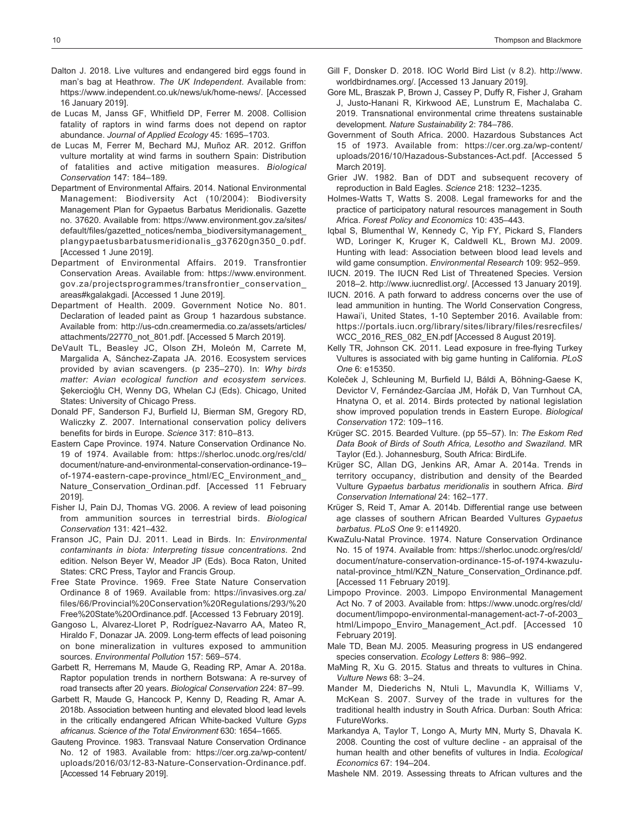- Dalton J. 2018. Live vultures and endangered bird eggs found in man's bag at Heathrow. *The UK Independent*. Available from: https://www.independent.co.uk/news/uk/home-news/. [Accessed 16 January 2019].
- de Lucas M, Janss GF, Whitfield DP, Ferrer M. 2008. Collision fatality of raptors in wind farms does not depend on raptor abundance. *Journal of Applied Ecology* 45*:* 1695–1703.
- de Lucas M, Ferrer M, Bechard MJ, Muñoz AR. 2012. Griffon vulture mortality at wind farms in southern Spain: Distribution of fatalities and active mitigation measures. *Biological Conservation* 147: 184–189.
- Department of Environmental Affairs. 2014. National Environmental Management: Biodiversity Act (10/2004): Biodiversity Management Plan for Gypaetus Barbatus Meridionalis. Gazette no. 37620. Available from: https://www.environment.gov.za/sites/ default/files/gazetted\_notices/nemba\_biodiversitymanagement\_ plangypaetusbarbatusmeridionalis\_g37620gn350\_0.pdf. [Accessed 1 June 2019].
- Department of Environmental Affairs. 2019. Transfrontier Conservation Areas. Available from: https://www.environment. gov.za/projectsprogrammes/transfrontier\_conservation\_ areas#kgalakgadi. [Accessed 1 June 2019].
- Department of Health. 2009. Government Notice No. 801. Declaration of leaded paint as Group 1 hazardous substance. Available from: http://us-cdn.creamermedia.co.za/assets/articles/ attachments/22770\_not\_801.pdf. [Accessed 5 March 2019].
- DeVault TL, Beasley JC, Olson ZH, Moleón M, Carrete M, Margalida A, Sánchez-Zapata JA. 2016. Ecosystem services provided by avian scavengers. (p 235–270). In: *Why birds matter: Avian ecological function and ecosystem services.* Şekercioğlu CH, Wenny DG, Whelan CJ (Eds). Chicago, United States: University of Chicago Press.
- Donald PF, Sanderson FJ, Burfield IJ, Bierman SM, Gregory RD, Waliczky Z. 2007. International conservation policy delivers benefits for birds in Europe. *Science* 317: 810–813.
- Eastern Cape Province. 1974. Nature Conservation Ordinance No. 19 of 1974. Available from: https://sherloc.unodc.org/res/cld/ document/nature-and-environmental-conservation-ordinance-19– of-1974-eastern-cape-province\_html/EC\_Environment\_and Nature Conservation Ordinan.pdf. [Accessed 11 February 2019].
- Fisher IJ, Pain DJ, Thomas VG. 2006. A review of lead poisoning from ammunition sources in terrestrial birds. *Biological Conservation* 131: 421–432.
- Franson JC, Pain DJ. 2011. Lead in Birds. In: *Environmental contaminants in biota: Interpreting tissue concentrations*. 2nd edition. Nelson Beyer W, Meador JP (Eds). Boca Raton, United States: CRC Press, Taylor and Francis Group.
- Free State Province. 1969. Free State Nature Conservation Ordinance 8 of 1969. Available from: https://invasives.org.za/ files/66/Provincial%20Conservation%20Regulations/293/%20 Free%20State%20Ordinance.pdf. [Accessed 13 February 2019].
- Gangoso L, Alvarez-Lloret P, Rodríguez-Navarro AA, Mateo R, Hiraldo F, Donazar JA. 2009. Long-term effects of lead poisoning on bone mineralization in vultures exposed to ammunition sources. *Environmental Pollution* 157: 569–574.
- Garbett R, Herremans M, Maude G, Reading RP, Amar A. 2018a. Raptor population trends in northern Botswana: A re-survey of road transects after 20 years. *Biological Conservation* 224: 87–99.
- Garbett R, Maude G, Hancock P, Kenny D, Reading R, Amar A. 2018b. Association between hunting and elevated blood lead levels in the critically endangered African White-backed Vulture *Gyps africanus*. *Science of the Total Environment* 630: 1654–1665.
- Gauteng Province. 1983. Transvaal Nature Conservation Ordinance No. 12 of 1983. Available from: https://cer.org.za/wp-content/ uploads/2016/03/12-83-Nature-Conservation-Ordinance.pdf. [Accessed 14 February 2019].
- Gill F, Donsker D. 2018. IOC World Bird List (v 8.2). http://www. worldbirdnames.org/. [Accessed 13 January 2019].
- Gore ML, Braszak P, Brown J, Cassey P, Duffy R, Fisher J, Graham J, Justo-Hanani R, Kirkwood AE, Lunstrum E, Machalaba C. 2019. Transnational environmental crime threatens sustainable development. *Nature Sustainability* 2: 784–786.
- Government of South Africa. 2000. Hazardous Substances Act 15 of 1973. Available from: https://cer.org.za/wp-content/ uploads/2016/10/Hazadous-Substances-Act.pdf. [Accessed 5 March 2019].
- Grier JW. 1982. Ban of DDT and subsequent recovery of reproduction in Bald Eagles. *Science* 218: 1232–1235.
- Holmes-Watts T, Watts S. 2008. Legal frameworks for and the practice of participatory natural resources management in South Africa. *Forest Policy and Economics* 10: 435–443.
- Iqbal S, Blumenthal W, Kennedy C, Yip FY, Pickard S, Flanders WD, Loringer K, Kruger K, Caldwell KL, Brown MJ. 2009. Hunting with lead: Association between blood lead levels and wild game consumption. *Environmental Research* 109: 952–959.
- IUCN. 2019. The IUCN Red List of Threatened Species. Version 2018–2. http://www.iucnredlist.org/. [Accessed 13 January 2019].
- IUCN. 2016. A path forward to address concerns over the use of lead ammunition in hunting. The World Conservation Congress, Hawai'i, United States, 1-10 September 2016. Available from: https://portals.iucn.org/library/sites/library/files/resrecfiles/ WCC\_2016\_RES\_082\_EN.pdf [Accessed 8 August 2019].
- Kelly TR, Johnson CK. 2011. Lead exposure in free-flying Turkey Vultures is associated with big game hunting in California. *PLoS One* 6: e15350.
- Koleček J, Schleuning M, Burfield IJ, Báldi A, Böhning-Gaese K, Devictor V, Fernández-Garcíaa JM, Hořák D, Van Turnhout CA, Hnatyna O, et al. 2014. Birds protected by national legislation show improved population trends in Eastern Europe. *Biological Conservation* 172: 109–116.
- Krüger SC. 2015. Bearded Vulture. (pp 55–57). In: *The Eskom Red Data Book of Birds of South Africa, Lesotho and Swaziland*. MR Taylor (Ed.). Johannesburg, South Africa: BirdLife.
- Krüger SC, Allan DG, Jenkins AR, Amar A. 2014a. Trends in territory occupancy, distribution and density of the Bearded Vulture *Gypaetus barbatus meridionalis* in southern Africa. *Bird Conservation International* 24: 162–177.
- Krüger S, Reid T, Amar A. 2014b. Differential range use between age classes of southern African Bearded Vultures *Gypaetus barbatus*. *PLoS One* 9: e114920.
- KwaZulu-Natal Province. 1974. Nature Conservation Ordinance No. 15 of 1974. Available from: https://sherloc.unodc.org/res/cld/ document/nature-conservation-ordinance-15-of-1974-kwazulunatal-province\_html/KZN\_Nature\_Conservation\_Ordinance.pdf. [Accessed 11 February 2019].
- Limpopo Province. 2003. Limpopo Environmental Management Act No. 7 of 2003. Available from: https://www.unodc.org/res/cld/ document/limpopo-environmental-management-act-7-of-2003\_ html/Limpopo Enviro Management Act.pdf. [Accessed 10 February 2019].
- Male TD, Bean MJ. 2005. Measuring progress in US endangered species conservation. *Ecology Letters* 8: 986–992.
- MaMing R, Xu G. 2015. Status and threats to vultures in China. *Vulture News* 68: 3–24.
- Mander M, Diederichs N, Ntuli L, Mavundla K, Williams V, McKean S. 2007. Survey of the trade in vultures for the traditional health industry in South Africa. Durban: South Africa: FutureWorks.
- Markandya A, Taylor T, Longo A, Murty MN, Murty S, Dhavala K. 2008. Counting the cost of vulture decline - an appraisal of the human health and other benefits of vultures in India. *Ecological Economics* 67: 194–204.
- Mashele NM. 2019. Assessing threats to African vultures and the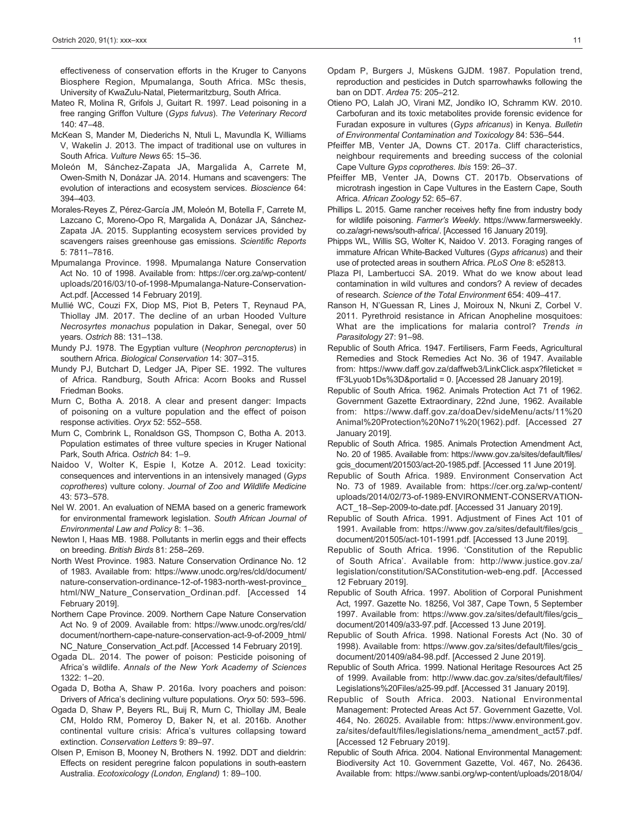effectiveness of conservation efforts in the Kruger to Canyons Biosphere Region, Mpumalanga, South Africa. MSc thesis, University of KwaZulu-Natal, Pietermaritzburg, South Africa.

- Mateo R, Molina R, Grifols J, Guitart R. 1997. Lead poisoning in a free ranging Griffon Vulture (*Gyps fulvus*). *The Veterinary Record* 140: 47–48.
- McKean S, Mander M, Diederichs N, Ntuli L, Mavundla K, Williams V, Wakelin J. 2013. The impact of traditional use on vultures in South Africa. *Vulture News* 65: 15–36.
- Moleón M, Sánchez-Zapata JA, Margalida A, Carrete M, Owen-Smith N, Donázar JA. 2014. Humans and scavengers: The evolution of interactions and ecosystem services. *Bioscience* 64: 394–403.
- Morales-Reyes Z, Pérez-García JM, Moleón M, Botella F, Carrete M, Lazcano C, Moreno-Opo R, Margalida A, Donázar JA, Sánchez-Zapata JA. 2015. Supplanting ecosystem services provided by scavengers raises greenhouse gas emissions. *Scientific Reports* 5: 7811–7816.
- Mpumalanga Province. 1998. Mpumalanga Nature Conservation Act No. 10 of 1998. Available from: https://cer.org.za/wp-content/ uploads/2016/03/10-of-1998-Mpumalanga-Nature-Conservation-Act.pdf. [Accessed 14 February 2019].
- Mullié WC, Couzi FX, Diop MS, Piot B, Peters T, Reynaud PA, Thiollay JM. 2017. The decline of an urban Hooded Vulture *Necrosyrtes monachus* population in Dakar, Senegal, over 50 years. *Ostrich* 88: 131–138.
- Mundy PJ. 1978. The Egyptian vulture (*Neophron percnopterus*) in southern Africa. *Biological Conservation* 14: 307–315.
- Mundy PJ, Butchart D, Ledger JA, Piper SE. 1992. The vultures of Africa. Randburg, South Africa: Acorn Books and Russel Friedman Books.
- Murn C, Botha A. 2018. A clear and present danger: Impacts of poisoning on a vulture population and the effect of poison response activities. *Oryx* 52: 552–558.
- Murn C, Combrink L, Ronaldson GS, Thompson C, Botha A. 2013. Population estimates of three vulture species in Kruger National Park, South Africa. *Ostrich* 84: 1–9.
- Naidoo V, Wolter K, Espie I, Kotze A. 2012. Lead toxicity: consequences and interventions in an intensively managed (*Gyps coprotheres*) vulture colony. *Journal of Zoo and Wildlife Medicine* 43: 573–578.
- Nel W. 2001. An evaluation of NEMA based on a generic framework for environmental framework legislation. *South African Journal of Environmental Law and Policy* 8: 1–36.
- Newton I, Haas MB. 1988. Pollutants in merlin eggs and their effects on breeding. *British Birds* 81: 258–269.
- North West Province. 1983. Nature Conservation Ordinance No. 12 of 1983. Available from: https://www.unodc.org/res/cld/document/ nature-conservation-ordinance-12-of-1983-north-west-province\_ html/NW\_Nature\_Conservation\_Ordinan.pdf. [Accessed 14 February 2019].
- Northern Cape Province. 2009. Northern Cape Nature Conservation Act No. 9 of 2009. Available from: https://www.unodc.org/res/cld/ document/northern-cape-nature-conservation-act-9-of-2009\_html/ NC\_Nature\_Conservation\_Act.pdf. [Accessed 14 February 2019].
- Ogada DL. 2014. The power of poison: Pesticide poisoning of Africa's wildlife. *Annals of the New York Academy of Sciences* 1322: 1–20.
- Ogada D, Botha A, Shaw P. 2016a. Ivory poachers and poison: Drivers of Africa's declining vulture populations. *Oryx* 50: 593–596.
- Ogada D, Shaw P, Beyers RL, Buij R, Murn C, Thiollay JM, Beale CM, Holdo RM, Pomeroy D, Baker N, et al. 2016b. Another continental vulture crisis: Africa's vultures collapsing toward extinction. *Conservation Letters* 9: 89–97.
- Olsen P, Emison B, Mooney N, Brothers N. 1992. DDT and dieldrin: Effects on resident peregrine falcon populations in south-eastern Australia. *Ecotoxicology (London, England)* 1: 89–100.
- Opdam P, Burgers J, Müskens GJDM. 1987. Population trend, reproduction and pesticides in Dutch sparrowhawks following the ban on DDT. *Ardea* 75: 205–212.
- Otieno PO, Lalah JO, Virani MZ, Jondiko IO, Schramm KW. 2010. Carbofuran and its toxic metabolites provide forensic evidence for Furadan exposure in vultures (*Gyps africanus*) in Kenya. *Bulletin of Environmental Contamination and Toxicology* 84: 536–544.
- Pfeiffer MB, Venter JA, Downs CT. 2017a. Cliff characteristics, neighbour requirements and breeding success of the colonial Cape Vulture *Gyps coprotheres*. *Ibis* 159: 26–37.
- Pfeiffer MB, Venter JA, Downs CT. 2017b. Observations of microtrash ingestion in Cape Vultures in the Eastern Cape, South Africa. *African Zoology* 52: 65–67.
- Phillips L. 2015. Game rancher receives hefty fine from industry body for wildlife poisoning. *Farmer's Weekly*. https://www.farmersweekly. co.za/agri-news/south-africa/. [Accessed 16 January 2019].
- Phipps WL, Willis SG, Wolter K, Naidoo V. 2013. Foraging ranges of immature African White-Backed Vultures (*Gyps africanus*) and their use of protected areas in southern Africa. *PLoS One* 8: e52813.
- Plaza PI, Lambertucci SA. 2019. What do we know about lead contamination in wild vultures and condors? A review of decades of research. *Science of the Total Environment* 654: 409–417.
- Ranson H, N'Guessan R, Lines J, Moiroux N, Nkuni Z, Corbel V. 2011. Pyrethroid resistance in African Anopheline mosquitoes: What are the implications for malaria control? *Trends in Parasitology* 27: 91–98.
- Republic of South Africa. 1947. Fertilisers, Farm Feeds, Agricultural Remedies and Stock Remedies Act No. 36 of 1947. Available from: https://www.daff.gov.za/daffweb3/LinkClick.aspx?fileticket = fF3Lyuob1Ds%3D&portalid = 0. [Accessed 28 January 2019].
- Republic of South Africa. 1962. Animals Protection Act 71 of 1962. Government Gazette Extraordinary, 22nd June, 1962. Available from: https://www.daff.gov.za/doaDev/sideMenu/acts/11%20 Animal%20Protection%20No71%20(1962).pdf. [Accessed 27 January 2019].
- Republic of South Africa. 1985. Animals Protection Amendment Act, No. 20 of 1985. Available from: https://www.gov.za/sites/default/files/ gcis\_document/201503/act-20-1985.pdf. [Accessed 11 June 2019].
- Republic of South Africa. 1989. Environment Conservation Act No. 73 of 1989. Available from: https://cer.org.za/wp-content/ uploads/2014/02/73-of-1989-ENVIRONMENT-CONSERVATION-ACT\_18–Sep-2009-to-date.pdf. [Accessed 31 January 2019].
- Republic of South Africa. 1991. Adjustment of Fines Act 101 of 1991. Available from: https://www.gov.za/sites/default/files/gcis\_ document/201505/act-101-1991.pdf. [Accessed 13 June 2019].
- Republic of South Africa. 1996. 'Constitution of the Republic of South Africa'. Available from: http://www.justice.gov.za/ legislation/constitution/SAConstitution-web-eng.pdf. [Accessed 12 February 2019].
- Republic of South Africa. 1997. Abolition of Corporal Punishment Act, 1997. Gazette No. 18256, Vol 387, Cape Town, 5 September 1997. Available from: https://www.gov.za/sites/default/files/gcis\_ document/201409/a33-97.pdf. [Accessed 13 June 2019].
- Republic of South Africa. 1998. National Forests Act (No. 30 of 1998). Available from: https://www.gov.za/sites/default/files/gcis\_ document/201409/a84-98.pdf. [Accessed 2 June 2019].
- Republic of South Africa. 1999. National Heritage Resources Act 25 of 1999. Available from: http://www.dac.gov.za/sites/default/files/ Legislations%20Files/a25-99.pdf. [Accessed 31 January 2019].
- Republic of South Africa. 2003. National Environmental Management: Protected Areas Act 57. Government Gazette, Vol. 464, No. 26025. Available from: https://www.environment.gov. za/sites/default/files/legislations/nema\_amendment\_act57.pdf. [Accessed 12 February 2019].
- Republic of South Africa. 2004. National Environmental Management: Biodiversity Act 10. Government Gazette, Vol. 467, No. 26436. Available from: https://www.sanbi.org/wp-content/uploads/2018/04/